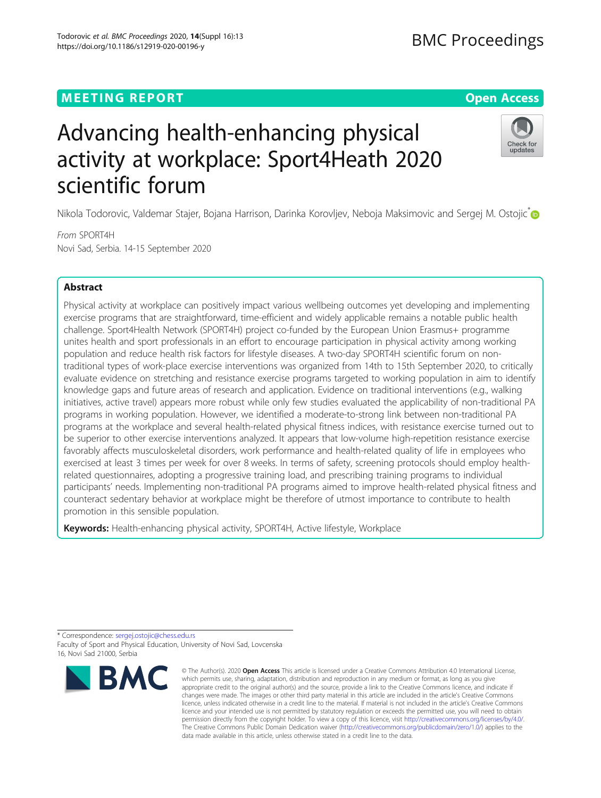## **MEETING REPORT CONTROL** CONTROL CONTROL CONTROL CONTROL CONTROL CONTROL CONTROL CONTROL CONTROL CONTROL CONTROL CONTROL CONTROL CONTROL CONTROL CONTROL CONTROL CONTROL CONTROL CONTROL CONTROL CONTROL CONTROL CONTROL CONTR

# Advancing health-enhancing physical activity at workplace: Sport4Heath 2020 scientific forum

Nikola Todorovic, Valdemar Stajer, Bojana Harrison, Darinka Korovljev, Neboja Maksimovic and Sergej M. Ostojic<sup>\*</sup>

From SPORT4H Novi Sad, Serbia. 14-15 September 2020

# Abstract

Physical activity at workplace can positively impact various wellbeing outcomes yet developing and implementing exercise programs that are straightforward, time-efficient and widely applicable remains a notable public health challenge. Sport4Health Network (SPORT4H) project co-funded by the European Union Erasmus+ programme unites health and sport professionals in an effort to encourage participation in physical activity among working population and reduce health risk factors for lifestyle diseases. A two-day SPORT4H scientific forum on nontraditional types of work-place exercise interventions was organized from 14th to 15th September 2020, to critically evaluate evidence on stretching and resistance exercise programs targeted to working population in aim to identify knowledge gaps and future areas of research and application. Evidence on traditional interventions (e.g., walking initiatives, active travel) appears more robust while only few studies evaluated the applicability of non-traditional PA programs in working population. However, we identified a moderate-to-strong link between non-traditional PA programs at the workplace and several health-related physical fitness indices, with resistance exercise turned out to be superior to other exercise interventions analyzed. It appears that low-volume high-repetition resistance exercise favorably affects musculoskeletal disorders, work performance and health-related quality of life in employees who exercised at least 3 times per week for over 8 weeks. In terms of safety, screening protocols should employ healthrelated questionnaires, adopting a progressive training load, and prescribing training programs to individual participants' needs. Implementing non-traditional PA programs aimed to improve health-related physical fitness and counteract sedentary behavior at workplace might be therefore of utmost importance to contribute to health promotion in this sensible population.

Keywords: Health-enhancing physical activity, SPORT4H, Active lifestyle, Workplace



<sup>©</sup> The Author(s), 2020 **Open Access** This article is licensed under a Creative Commons Attribution 4.0 International License, which permits use, sharing, adaptation, distribution and reproduction in any medium or format, as long as you give appropriate credit to the original author(s) and the source, provide a link to the Creative Commons licence, and indicate if changes were made. The images or other third party material in this article are included in the article's Creative Commons licence, unless indicated otherwise in a credit line to the material. If material is not included in the article's Creative Commons licence and your intended use is not permitted by statutory regulation or exceeds the permitted use, you will need to obtain permission directly from the copyright holder. To view a copy of this licence, visit [http://creativecommons.org/licenses/by/4.0/.](http://creativecommons.org/licenses/by/4.0/) The Creative Commons Public Domain Dedication waiver [\(http://creativecommons.org/publicdomain/zero/1.0/](http://creativecommons.org/publicdomain/zero/1.0/)) applies to the data made available in this article, unless otherwise stated in a credit line to the data.





<sup>\*</sup> Correspondence: [sergej.ostojic@chess.edu.rs](mailto:sergej.ostojic@chess.edu.rs) Faculty of Sport and Physical Education, University of Novi Sad, Lovcenska 16, Novi Sad 21000, Serbia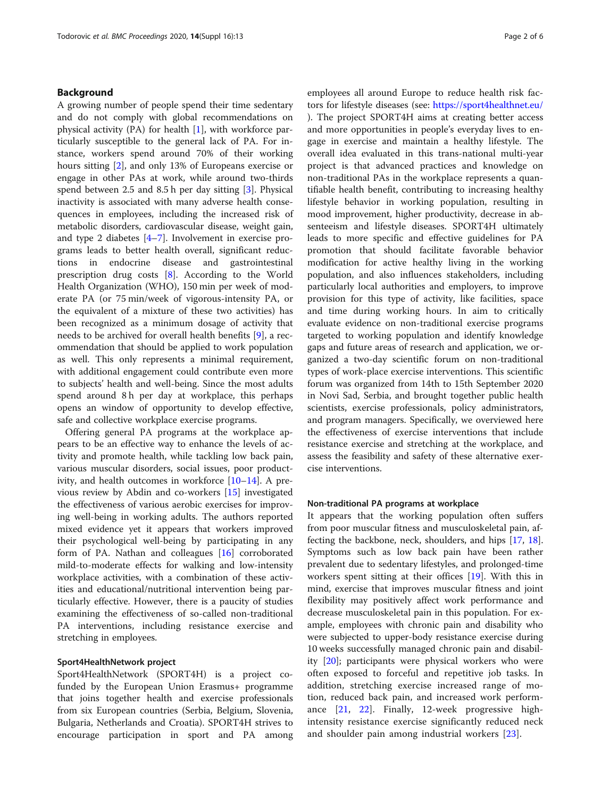#### Background

A growing number of people spend their time sedentary and do not comply with global recommendations on physical activity  $(PA)$  for health  $[1]$  $[1]$ , with workforce particularly susceptible to the general lack of PA. For instance, workers spend around 70% of their working hours sitting [\[2](#page-4-0)], and only 13% of Europeans exercise or engage in other PAs at work, while around two-thirds spend between 2.5 and 8.5 h per day sitting [[3\]](#page-4-0). Physical inactivity is associated with many adverse health consequences in employees, including the increased risk of metabolic disorders, cardiovascular disease, weight gain, and type 2 diabetes [\[4](#page-4-0)–[7](#page-4-0)]. Involvement in exercise programs leads to better health overall, significant reductions in endocrine disease and gastrointestinal prescription drug costs [\[8](#page-4-0)]. According to the World Health Organization (WHO), 150 min per week of moderate PA (or 75 min/week of vigorous-intensity PA, or the equivalent of a mixture of these two activities) has been recognized as a minimum dosage of activity that needs to be archived for overall health benefits [\[9](#page-4-0)], a recommendation that should be applied to work population as well. This only represents a minimal requirement, with additional engagement could contribute even more to subjects' health and well-being. Since the most adults spend around 8h per day at workplace, this perhaps opens an window of opportunity to develop effective, safe and collective workplace exercise programs.

Offering general PA programs at the workplace appears to be an effective way to enhance the levels of activity and promote health, while tackling low back pain, various muscular disorders, social issues, poor productivity, and health outcomes in workforce  $[10-14]$  $[10-14]$  $[10-14]$  $[10-14]$  $[10-14]$ . A previous review by Abdin and co-workers [[15](#page-4-0)] investigated the effectiveness of various aerobic exercises for improving well-being in working adults. The authors reported mixed evidence yet it appears that workers improved their psychological well-being by participating in any form of PA. Nathan and colleagues [\[16](#page-4-0)] corroborated mild-to-moderate effects for walking and low-intensity workplace activities, with a combination of these activities and educational/nutritional intervention being particularly effective. However, there is a paucity of studies examining the effectiveness of so-called non-traditional PA interventions, including resistance exercise and stretching in employees.

#### Sport4HealthNetwork project

Sport4HealthNetwork (SPORT4H) is a project cofunded by the European Union Erasmus+ programme that joins together health and exercise professionals from six European countries (Serbia, Belgium, Slovenia, Bulgaria, Netherlands and Croatia). SPORT4H strives to encourage participation in sport and PA among employees all around Europe to reduce health risk factors for lifestyle diseases (see: <https://sport4healthnet.eu/> ). The project SPORT4H aims at creating better access and more opportunities in people's everyday lives to engage in exercise and maintain a healthy lifestyle. The overall idea evaluated in this trans-national multi-year project is that advanced practices and knowledge on non-traditional PAs in the workplace represents a quantifiable health benefit, contributing to increasing healthy lifestyle behavior in working population, resulting in mood improvement, higher productivity, decrease in absenteeism and lifestyle diseases. SPORT4H ultimately leads to more specific and effective guidelines for PA promotion that should facilitate favorable behavior modification for active healthy living in the working population, and also influences stakeholders, including particularly local authorities and employers, to improve provision for this type of activity, like facilities, space and time during working hours. In aim to critically evaluate evidence on non-traditional exercise programs targeted to working population and identify knowledge gaps and future areas of research and application, we organized a two-day scientific forum on non-traditional types of work-place exercise interventions. This scientific forum was organized from 14th to 15th September 2020 in Novi Sad, Serbia, and brought together public health scientists, exercise professionals, policy administrators, and program managers. Specifically, we overviewed here the effectiveness of exercise interventions that include resistance exercise and stretching at the workplace, and assess the feasibility and safety of these alternative exercise interventions.

#### Non-traditional PA programs at workplace

It appears that the working population often suffers from poor muscular fitness and musculoskeletal pain, affecting the backbone, neck, shoulders, and hips [\[17,](#page-4-0) [18](#page-4-0)]. Symptoms such as low back pain have been rather prevalent due to sedentary lifestyles, and prolonged-time workers spent sitting at their offices [[19](#page-4-0)]. With this in mind, exercise that improves muscular fitness and joint flexibility may positively affect work performance and decrease musculoskeletal pain in this population. For example, employees with chronic pain and disability who were subjected to upper-body resistance exercise during 10 weeks successfully managed chronic pain and disability [\[20](#page-5-0)]; participants were physical workers who were often exposed to forceful and repetitive job tasks. In addition, stretching exercise increased range of motion, reduced back pain, and increased work performance [\[21](#page-5-0), [22](#page-5-0)]. Finally, 12-week progressive highintensity resistance exercise significantly reduced neck and shoulder pain among industrial workers [[23\]](#page-5-0).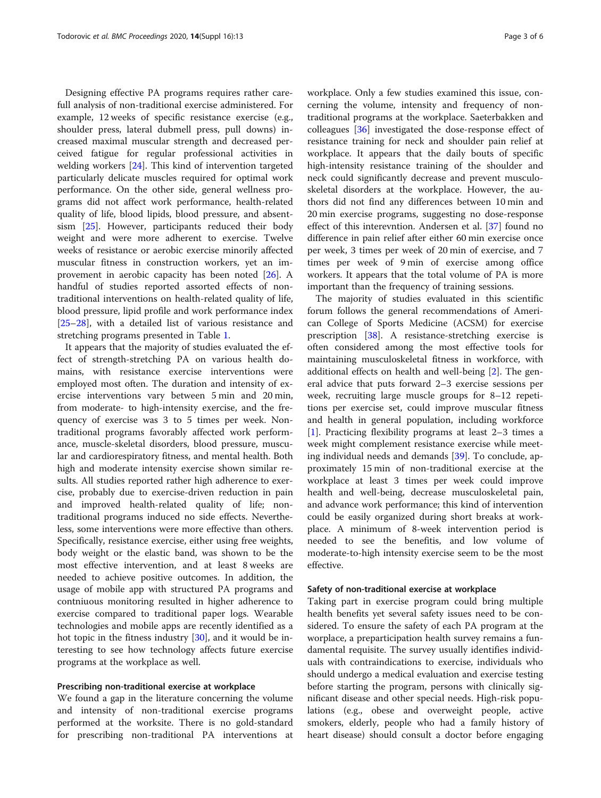Designing effective PA programs requires rather carefull analysis of non-traditional exercise administered. For example, 12 weeks of specific resistance exercise (e.g., shoulder press, lateral dubmell press, pull downs) increased maximal muscular strength and decreased perceived fatigue for regular professional activities in welding workers [[24\]](#page-5-0). This kind of intervention targeted particularly delicate muscles required for optimal work performance. On the other side, general wellness programs did not affect work performance, health-related quality of life, blood lipids, blood pressure, and absentsism [[25\]](#page-5-0). However, participants reduced their body weight and were more adherent to exercise. Twelve weeks of resistance or aerobic exercise minorily affected muscular fitness in construction workers, yet an improvement in aerobic capacity has been noted [[26\]](#page-5-0). A handful of studies reported assorted effects of nontraditional interventions on health-related quality of life, blood pressure, lipid profile and work performance index [[25](#page-5-0)–[28](#page-5-0)], with a detailed list of various resistance and stretching programs presented in Table [1](#page-3-0).

It appears that the majority of studies evaluated the effect of strength-stretching PA on various health domains, with resistance exercise interventions were employed most often. The duration and intensity of exercise interventions vary between 5 min and 20 min, from moderate- to high-intensity exercise, and the frequency of exercise was 3 to 5 times per week. Nontraditional programs favorably affected work performance, muscle-skeletal disorders, blood pressure, muscular and cardiorespiratory fitness, and mental health. Both high and moderate intensity exercise shown similar results. All studies reported rather high adherence to exercise, probably due to exercise-driven reduction in pain and improved health-related quality of life; nontraditional programs induced no side effects. Nevertheless, some interventions were more effective than others. Specifically, resistance exercise, either using free weights, body weight or the elastic band, was shown to be the most effective intervention, and at least 8 weeks are needed to achieve positive outcomes. In addition, the usage of mobile app with structured PA programs and contniuous monitoring resulted in higher adherence to exercise compared to traditional paper logs. Wearable technologies and mobile apps are recently identified as a hot topic in the fitness industry [[30\]](#page-5-0), and it would be interesting to see how technology affects future exercise programs at the workplace as well.

#### Prescribing non-traditional exercise at workplace

We found a gap in the literature concerning the volume and intensity of non-traditional exercise programs performed at the worksite. There is no gold-standard for prescribing non-traditional PA interventions at

workplace. Only a few studies examined this issue, concerning the volume, intensity and frequency of nontraditional programs at the workplace. Saeterbakken and colleagues [[36\]](#page-5-0) investigated the dose-response effect of resistance training for neck and shoulder pain relief at workplace. It appears that the daily bouts of specific high-intensity resistance training of the shoulder and neck could significantly decrease and prevent musculoskeletal disorders at the workplace. However, the authors did not find any differences between 10 min and 20 min exercise programs, suggesting no dose-response effect of this interevntion. Andersen et al. [\[37](#page-5-0)] found no difference in pain relief after either 60 min exercise once per week, 3 times per week of 20 min of exercise, and 7 times per week of 9 min of exercise among office workers. It appears that the total volume of PA is more important than the frequency of training sessions.

The majority of studies evaluated in this scientific forum follows the general recommendations of American College of Sports Medicine (ACSM) for exercise prescription [\[38](#page-5-0)]. A resistance-stretching exercise is often considered among the most effective tools for maintaining musculoskeletal fitness in workforce, with additional effects on health and well-being [\[2](#page-4-0)]. The general advice that puts forward 2–3 exercise sessions per week, recruiting large muscle groups for 8–12 repetitions per exercise set, could improve muscular fitness and health in general population, including workforce [[1\]](#page-4-0). Practicing flexibility programs at least 2–3 times a week might complement resistance exercise while meeting individual needs and demands [[39](#page-5-0)]. To conclude, approximately 15 min of non-traditional exercise at the workplace at least 3 times per week could improve health and well-being, decrease musculoskeletal pain, and advance work performance; this kind of intervention could be easily organized during short breaks at workplace. A minimum of 8-week intervention period is needed to see the benefitis, and low volume of moderate-to-high intensity exercise seem to be the most effective.

#### Safety of non-traditional exercise at workplace

Taking part in exercise program could bring multiple health benefits yet several safety issues need to be considered. To ensure the safety of each PA program at the worplace, a preparticipation health survey remains a fundamental requisite. The survey usually identifies individuals with contraindications to exercise, individuals who should undergo a medical evaluation and exercise testing before starting the program, persons with clinically significant disease and other special needs. High-risk populations (e.g., obese and overweight people, active smokers, elderly, people who had a family history of heart disease) should consult a doctor before engaging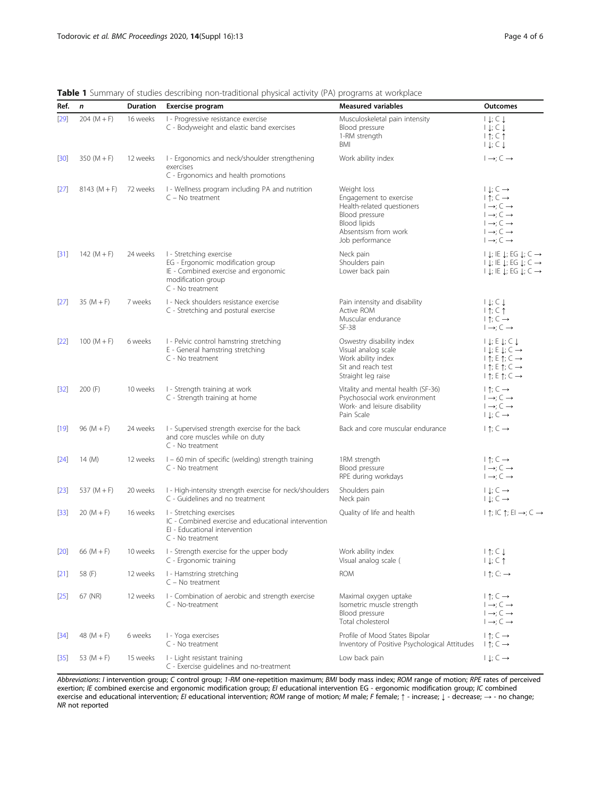| Ref.   | $\mathbf n$   | <b>Duration</b> | Exercise program                                                                                                                               | <b>Measured variables</b>                                                                                                                               | <b>Outcomes</b>                                                                                                                                                                                                                                        |
|--------|---------------|-----------------|------------------------------------------------------------------------------------------------------------------------------------------------|---------------------------------------------------------------------------------------------------------------------------------------------------------|--------------------------------------------------------------------------------------------------------------------------------------------------------------------------------------------------------------------------------------------------------|
| [29]   | $204 (M + F)$ | 16 weeks        | I - Progressive resistance exercise<br>C - Bodyweight and elastic band exercises                                                               | Musculoskeletal pain intensity<br>Blood pressure<br>1-RM strength<br>BMI                                                                                | $  \downarrow$ ; $\subset \downarrow$<br>$  \downarrow; \subset \downarrow$<br>$1 \uparrow; C \uparrow$<br>$  \downarrow; \subset \downarrow$                                                                                                          |
| $[30]$ | 350 $(M + F)$ | 12 weeks        | I - Ergonomics and neck/shoulder strengthening<br>exercises<br>C - Ergonomics and health promotions                                            | Work ability index                                                                                                                                      | $I \rightarrow i \subset \rightarrow$                                                                                                                                                                                                                  |
| $[27]$ | $8143(M + F)$ | 72 weeks        | I - Wellness program including PA and nutrition<br>$C - No$ treatment                                                                          | Weight loss<br>Engagement to exercise<br>Health-related questioners<br>Blood pressure<br><b>Blood lipids</b><br>Absentsism from work<br>Job performance | $  \downarrow; \subset \rightarrow$<br>$ \uparrow; C \rightarrow$<br>$I \rightarrow i \subset \rightarrow$<br>$I \rightarrow C \rightarrow$<br>$I \rightarrow i \subset \rightarrow$<br>$I \rightarrow C \rightarrow$<br>$I \rightarrow C \rightarrow$ |
| $[31]$ | 142 $(M + F)$ | 24 weeks        | I - Stretching exercise<br>EG - Ergonomic modification group<br>IE - Combined exercise and ergonomic<br>modification group<br>C - No treatment | Neck pain<br>Shoulders pain<br>Lower back pain                                                                                                          | $  \downarrow  $ ; IE $\downarrow$ ; EG $\downarrow$ ; C $\rightarrow$<br>$  \downarrow  $ ; IE $\downarrow$ ; EG $\downarrow$ ; C $\rightarrow$<br>$  \downarrow$ ; IE $\downarrow$ ; EG $\downarrow$ ; C $\rightarrow$                               |
| $[27]$ | $35 (M + F)$  | 7 weeks         | I - Neck shoulders resistance exercise<br>C - Stretching and postural exercise                                                                 | Pain intensity and disability<br>Active ROM<br>Muscular endurance<br>$SF-38$                                                                            | $  \downarrow; \subset \downarrow$<br>$1 \uparrow; C \uparrow$<br>$\uparrow$ $\uparrow$ ; $\subset \rightarrow$<br>$I \rightarrow C \rightarrow$                                                                                                       |
| $[22]$ | $100 (M + F)$ | 6 weeks         | I - Pelvic control hamstring stretching<br>E - General hamstring stretching<br>C - No treatment                                                | Oswestry disability index<br>Visual analog scale<br>Work ability index<br>Sit and reach test<br>Straight leg raise                                      | $  \downarrow$ ; E $\downarrow$ ; C $\downarrow$<br>$  \downarrow$ ; E $\downarrow$ ; C $\rightarrow$<br>$ \uparrow; E \uparrow; C \rightarrow$<br>$ \uparrow; E \uparrow; C \rightarrow$<br>$\vert \uparrow$ ; E $\uparrow$ ; C $\rightarrow$         |
| $[32]$ | 200 (F)       | 10 weeks        | I - Strength training at work<br>C - Strength training at home                                                                                 | Vitality and mental health (SF-36)<br>Psychosocial work environment<br>Work- and leisure disability<br>Pain Scale                                       | $ \uparrow; C \rightarrow$<br>$I \rightarrow C \rightarrow$<br>$I \rightarrow i \subset \rightarrow$<br>$  \downarrow; \subset \rightarrow$                                                                                                            |
| $[19]$ | $96(M + F)$   | 24 weeks        | I - Supervised strength exercise for the back<br>and core muscles while on duty<br>C - No treatment                                            | Back and core muscular endurance                                                                                                                        | $ \uparrow; C \rightarrow$                                                                                                                                                                                                                             |
| [24]   | 14 (M)        | 12 weeks        | I - 60 min of specific (welding) strength training<br>C - No treatment                                                                         | 1RM strength<br>Blood pressure<br>RPE during workdays                                                                                                   | $\uparrow$ $\uparrow$ ; $\subset \rightarrow$<br>$I \rightarrow C \rightarrow$<br>$\vdash \rightarrow; C \rightarrow$                                                                                                                                  |
| $[23]$ | 537 $(M + F)$ | 20 weeks        | I - High-intensity strength exercise for neck/shoulders<br>C - Guidelines and no treatment                                                     | Shoulders pain<br>Neck pain                                                                                                                             | $  \downarrow; C \rightarrow$<br>$  \downarrow; \subset \rightarrow$                                                                                                                                                                                   |
| $[33]$ | $20 (M + F)$  | 16 weeks        | I - Stretching exercises<br>IC - Combined exercise and educational intervention<br>EI - Educational intervention<br>C - No treatment           | Quality of life and health                                                                                                                              | $ \uparrow;$ IC $\uparrow;$ EI $\rightarrow$ ; C $\rightarrow$                                                                                                                                                                                         |
| $[20]$ | 66 (M + F)    |                 | 10 weeks I - Strength exercise for the upper body<br>C - Ergonomic training                                                                    | Work ability index<br>Visual analog scale (                                                                                                             | $1 \uparrow; C \downarrow$<br>$1 \downarrow; C \uparrow$                                                                                                                                                                                               |
| $[21]$ | 58 (F)        | 12 weeks        | I - Hamstring stretching<br>$C - No$ treatment                                                                                                 | <b>ROM</b>                                                                                                                                              | $ \uparrow; C: \rightarrow$                                                                                                                                                                                                                            |
| $[25]$ | 67 (NR)       | 12 weeks        | I - Combination of aerobic and strength exercise<br>C - No-treatment                                                                           | Maximal oxygen uptake<br>Isometric muscle strength<br>Blood pressure<br>Total cholesterol                                                               | $\uparrow$ $\uparrow$ : $\subset \rightarrow$<br>$I \rightarrow C \rightarrow$<br>$I \rightarrow C \rightarrow$<br>$I \rightarrow C \rightarrow$                                                                                                       |
| $[34]$ | 48 $(M + F)$  | 6 weeks         | I - Yoga exercises<br>C - No treatment                                                                                                         | Profile of Mood States Bipolar<br>Inventory of Positive Psychological Attitudes                                                                         | $\uparrow$ $\uparrow$ : $\subset \rightarrow$<br>$ \uparrow; C \rightarrow$                                                                                                                                                                            |
| $[35]$ | 53 $(M + F)$  | 15 weeks        | I - Light resistant training<br>C - Exercise guidelines and no-treatment                                                                       | Low back pain                                                                                                                                           | $  \downarrow; C \rightarrow$                                                                                                                                                                                                                          |

<span id="page-3-0"></span>Table 1 Summary of studies describing non-traditional physical activity (PA) programs at workplace

Abbreviations: I intervention group; C control group; 1-RM one-repetition maximum; BMI body mass index; ROM range of motion; RPE rates of perceived exertion; IE combined exercise and ergonomic modification group; EI educational intervention EG - ergonomic modification group; IC combined exercise and educational intervention; EI educational intervention; ROM range of motion; M male; F female; ↑ - increase; ↓ - decrease; → - no change NR not reported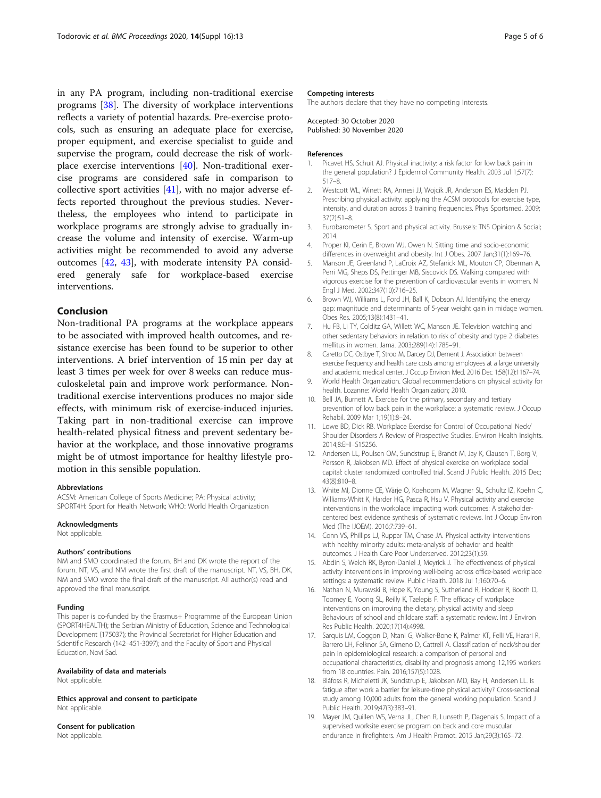<span id="page-4-0"></span>in any PA program, including non-traditional exercise programs [[38](#page-5-0)]. The diversity of workplace interventions reflects a variety of potential hazards. Pre-exercise protocols, such as ensuring an adequate place for exercise, proper equipment, and exercise specialist to guide and supervise the program, could decrease the risk of workplace exercise interventions [\[40\]](#page-5-0). Non-traditional exercise programs are considered safe in comparison to collective sport activities [[41\]](#page-5-0), with no major adverse effects reported throughout the previous studies. Nevertheless, the employees who intend to participate in workplace programs are strongly advise to gradually increase the volume and intensity of exercise. Warm-up activities might be recommended to avoid any adverse outcomes [[42](#page-5-0), [43\]](#page-5-0), with moderate intensity PA considered generaly safe for workplace-based exercise interventions.

#### Conclusion

Non-traditional PA programs at the workplace appears to be associated with improved health outcomes, and resistance exercise has been found to be superior to other interventions. A brief intervention of 15 min per day at least 3 times per week for over 8 weeks can reduce musculoskeletal pain and improve work performance. Nontraditional exercise interventions produces no major side effects, with minimum risk of exercise-induced injuries. Taking part in non-traditional exercise can improve health-related physical fitness and prevent sedentary behavior at the workplace, and those innovative programs might be of utmost importance for healthy lifestyle promotion in this sensible population.

#### Abbreviations

ACSM: American College of Sports Medicine; PA: Physical activity; SPORT4H: Sport for Health Network; WHO: World Health Organization

#### Acknowledgments

Not applicable.

#### Authors' contributions

NM and SMO coordinated the forum. BH and DK wrote the report of the forum. NT, VS, and NM wrote the first draft of the manuscript. NT, VS, BH, DK, NM and SMO wrote the final draft of the manuscript. All author(s) read and approved the final manuscript.

#### Funding

This paper is co-funded by the Erasmus+ Programme of the European Union (SPORT4HEALTH); the Serbian Ministry of Education, Science and Technological Development (175037); the Provincial Secretariat for Higher Education and Scientific Research (142–451-3097); and the Faculty of Sport and Physical Education, Novi Sad.

#### Availability of data and materials

Not applicable.

Ethics approval and consent to participate Not applicable.

### Consent for publication

Not applicable.

#### Competing interests

The authors declare that they have no competing interests.

#### Accepted: 30 October 2020 Published: 30 November 2020

#### References

- 1. Picavet HS, Schuit AJ. Physical inactivity: a risk factor for low back pain in the general population? J Epidemiol Community Health. 2003 Jul 1;57(7): 517–8.
- 2. Westcott WL, Winett RA, Annesi JJ, Wojcik JR, Anderson ES, Madden PJ. Prescribing physical activity: applying the ACSM protocols for exercise type, intensity, and duration across 3 training frequencies. Phys Sportsmed. 2009; 37(2):51–8.
- 3. Eurobarometer S. Sport and physical activity. Brussels: TNS Opinion & Social; 2014.
- 4. Proper KI, Cerin E, Brown WJ, Owen N. Sitting time and socio-economic differences in overweight and obesity. Int J Obes. 2007 Jan;31(1):169–76.
- 5. Manson JE, Greenland P, LaCroix AZ, Stefanick ML, Mouton CP, Oberman A, Perri MG, Sheps DS, Pettinger MB, Siscovick DS. Walking compared with vigorous exercise for the prevention of cardiovascular events in women. N Engl J Med. 2002;347(10):716–25.
- 6. Brown WJ, Williams L, Ford JH, Ball K, Dobson AJ. Identifying the energy gap: magnitude and determinants of 5-year weight gain in midage women. Obes Res. 2005;13(8):1431–41.
- 7. Hu FB, Li TY, Colditz GA, Willett WC, Manson JE. Television watching and other sedentary behaviors in relation to risk of obesity and type 2 diabetes mellitus in women. Jama. 2003;289(14):1785–91.
- 8. Caretto DC, Ostbye T, Stroo M, Darcey DJ, Dement J. Association between exercise frequency and health care costs among employees at a large university and academic medical center. J Occup Environ Med. 2016 Dec 1;58(12):1167–74.
- 9. World Health Organization. Global recommendations on physical activity for health. Lozanne: World Health Organization; 2010.
- 10. Bell JA, Burnett A. Exercise for the primary, secondary and tertiary prevention of low back pain in the workplace: a systematic review. J Occup Rehabil. 2009 Mar 1;19(1):8–24.
- 11. Lowe BD, Dick RB, Workplace Exercise for Control of Occupational Neck/ Shoulder Disorders A Review of Prospective Studies. Environ Health Insights. 2014;8:EHI–S15256.
- 12. Andersen LL, Poulsen OM, Sundstrup E, Brandt M, Jay K, Clausen T, Borg V, Persson R, Jakobsen MD. Effect of physical exercise on workplace social capital: cluster randomized controlled trial. Scand J Public Health. 2015 Dec; 43(8):810–8.
- 13. White MI, Dionne CE, Wärje O, Koehoorn M, Wagner SL, Schultz IZ, Koehn C, Williams-Whitt K, Harder HG, Pasca R, Hsu V. Physical activity and exercise interventions in the workplace impacting work outcomes: A stakeholdercentered best evidence synthesis of systematic reviews. Int J Occup Environ Med (The IJOEM). 2016;7:739–61.
- 14. Conn VS, Phillips LJ, Ruppar TM, Chase JA. Physical activity interventions with healthy minority adults: meta-analysis of behavior and health outcomes. J Health Care Poor Underserved. 2012;23(1):59.
- 15. Abdin S, Welch RK, Byron-Daniel J, Meyrick J. The effectiveness of physical activity interventions in improving well-being across office-based workplace settings: a systematic review. Public Health. 2018 Jul 1;160:70–6.
- 16. Nathan N, Murawski B, Hope K, Young S, Sutherland R, Hodder R, Booth D, Toomey E, Yoong SL, Reilly K, Tzelepis F. The efficacy of workplace interventions on improving the dietary, physical activity and sleep Behaviours of school and childcare staff: a systematic review. Int J Environ Res Public Health. 2020;17(14):4998.
- 17. Sarquis LM, Coggon D, Ntani G, Walker-Bone K, Palmer KT, Felli VE, Harari R, Barrero LH, Felknor SA, Gimeno D, Cattrell A. Classification of neck/shoulder pain in epidemiological research: a comparison of personal and occupational characteristics, disability and prognosis among 12,195 workers from 18 countries. Pain. 2016;157(5):1028.
- 18. Bláfoss R, Micheietti JK, Sundstrup E, Jakobsen MD, Bay H, Andersen LL. Is fatigue after work a barrier for leisure-time physical activity? Cross-sectional study among 10,000 adults from the general working population. Scand J Public Health. 2019;47(3):383–91.
- 19. Mayer JM, Quillen WS, Verna JL, Chen R, Lunseth P, Dagenais S. Impact of a supervised worksite exercise program on back and core muscular endurance in firefighters. Am J Health Promot. 2015 Jan;29(3):165–72.